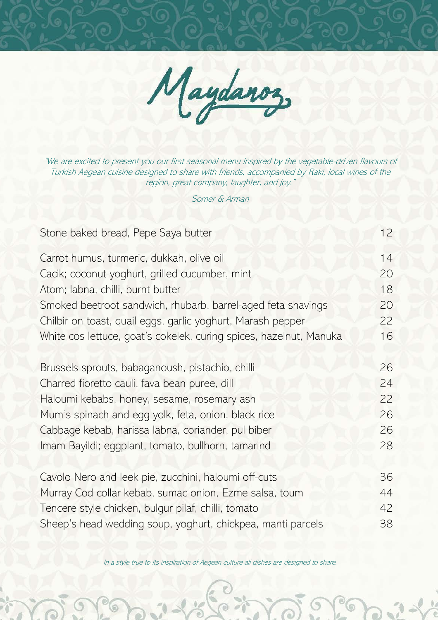

"We are excited to present you our first seasonal menu inspired by the vegetable-driven flavours of Turkish Aegean cuisine designed to share with friends, accompanied by Raki, local wines of the region, great company, laughter, and joy."

Somer & Arman

| Stone baked bread, Pepe Saya butter                                | 12 |
|--------------------------------------------------------------------|----|
| Carrot humus, turmeric, dukkah, olive oil                          | 14 |
| Cacik; coconut yoghurt, grilled cucumber, mint                     | 20 |
| Atom; labna, chilli, burnt butter                                  | 18 |
| Smoked beetroot sandwich, rhubarb, barrel-aged feta shavings       | 20 |
| Chilbir on toast, quail eggs, garlic yoghurt, Marash pepper        | 22 |
| White cos lettuce, goat's cokelek, curing spices, hazelnut, Manuka | 16 |
| Brussels sprouts, babaganoush, pistachio, chilli                   | 26 |
| Charred fioretto cauli, fava bean puree, dill                      | 24 |
| Haloumi kebabs, honey, sesame, rosemary ash                        | 22 |
| Mum's spinach and egg yolk, feta, onion, black rice                | 26 |
| Cabbage kebab, harissa labna, coriander, pul biber                 | 26 |
| Imam Bayildi; eggplant, tomato, bullhorn, tamarind                 | 28 |
| Cavolo Nero and leek pie, zucchini, haloumi off-cuts               | 36 |
| Murray Cod collar kebab, sumac onion, Ezme salsa, toum             | 44 |
| Tencere style chicken, bulgur pilaf, chilli, tomato                | 42 |
| Sheep's head wedding soup, yoghurt, chickpea, manti parcels        | 38 |

In a style true to its inspiration of Aegean culture all dishes are designed to share.